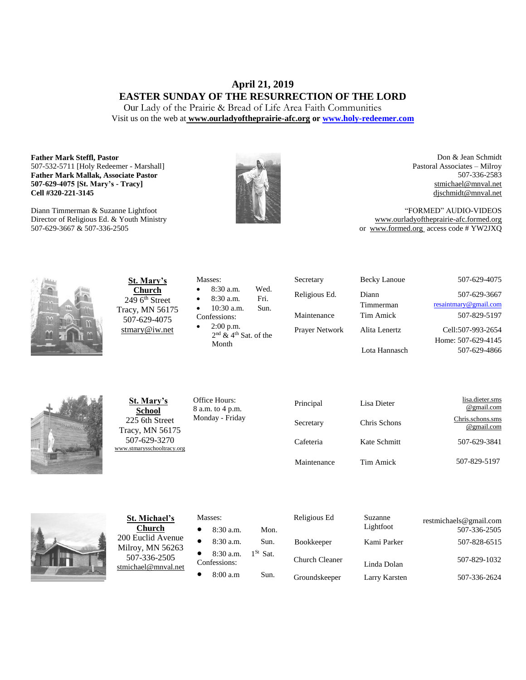# **April 21, 2019 EASTER SUNDAY OF THE RESURRECTION OF THE LORD**

Our Lady of the Prairie & Bread of Life Area Faith Communities Visit us on the web at **[www.ourladyoftheprairie-afc.org](http://www.ourladyoftheprairie-afc.org/) o[r www.holy-redeemer.com](http://www.holy-redeemer.com/)**

#### **Father Mark Steffl, Pastor** 507-532-5711 [Holy Redeemer - Marshall] **Father Mark Mallak, Associate Pastor 507-629-4075 [St. Mary's - Tracy] Cell #320-221-3145**

Diann Timmerman & Suzanne Lightfoot Director of Religious Ed. & Youth Ministry 507-629-3667 & 507-336-2505



Don & Jean Schmidt Pastoral Associates – Milroy 507-336-2583 [stmichael@mnval.net](mailto:stmichael@means.net) [djschmidt@mnval.net](mailto:djschmidt@mnval.net)

"FORMED" AUDIO-VIDEOS [www.ourladyoftheprairie-afc.formed.org](http://www.ourladyoftheprairie-afc.formed.org/) or www.formed.org access code # YW2JXQ



**St. Mary's Church**  $2496$ <sup>th</sup> Street Tracy, MN 56175 507-629-4075 [stmary@iw.net](mailto:stmary@iw.net)

|           | Masses:                             |      |
|-----------|-------------------------------------|------|
| $\bullet$ | $8:30$ a.m.                         | Wed. |
| $\bullet$ | 8:30 a.m.                           | Fri. |
| $\bullet$ | $10:30$ a.m.                        | Sun. |
|           | Confessions:                        |      |
| $\bullet$ | $2:00$ p.m.                         |      |
|           | $2nd$ & 4 <sup>th</sup> Sat. of the |      |

Secretary Becky Lanoue 507-629-4075 Religious Ed. Diann Timmerman Maintenance Tim Amick 507-829-5197 Prayer Network Alita Lenertz Lota Hannasch

507-629-3667 [resaintmary@gmail.com](mailto:resaintmary@gmail.com) Cell:507-993-2654 Home: 507-629-4145 507-629-4866



**St. Mary's School** 225 6th Street Tracy, MN 56175 507-629-3270 [www.stmarysschooltracy.org](http://www.stmarysschooltracy.org/) Office Hours: 8 a.m. to 4 p.m. Monday - Friday

Month

| Principal   | Lisa Dieter  | lisa.dieter.sms<br>@gmail.com  |  |  |
|-------------|--------------|--------------------------------|--|--|
| Secretary   | Chris Schons | Chris.schons.sms<br>@gmail.com |  |  |
| Cafeteria   | Kate Schmitt | 507-629-3841                   |  |  |
| Maintenance | Tim Amick    | 507-829-5197                   |  |  |



**St. Michael's Church** 200 Euclid Avenue Milroy, MN 56263 507-336-2505 [stmichael@mnval.net](mailto:stmichael@mnval.net)

#### Masses:

• 8:30 a.m. Mon.  $\bullet$  8:30 a.m. Sun. 8:30 a.m. 1<sup>St</sup> Sat. Confessions:  $\bullet$  8:00 a.m Sun.

| Religious Ed          | Suzanne<br>Lightfoot | restmichaels@gmail.com<br>507-336-2505 |
|-----------------------|----------------------|----------------------------------------|
| Bookkeeper            | Kami Parker          | 507-828-6515                           |
| <b>Church Cleaner</b> | Linda Dolan          | 507-829-1032                           |
| Groundskeeper         | Larry Karsten        | 507-336-2624                           |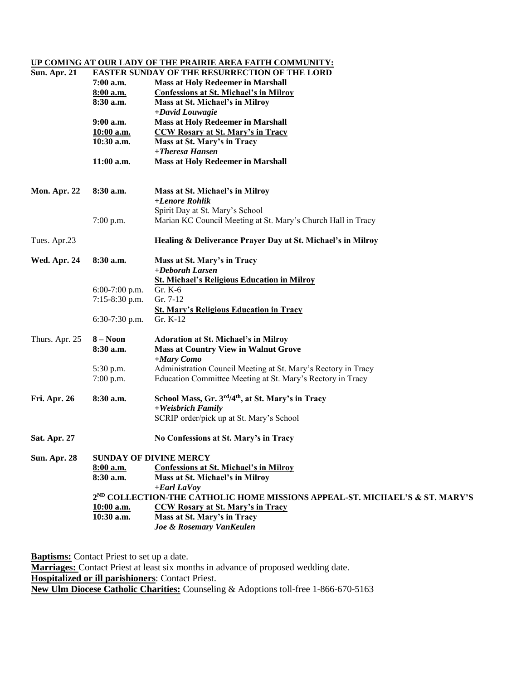## **UP COMING AT OUR LADY OF THE PRAIRIE AREA FAITH COMMUNITY:**

| <b>Sun. Apr. 21</b> | <b>EASTER SUNDAY OF THE RESURRECTION OF THE LORD</b> |                                                                             |  |  |
|---------------------|------------------------------------------------------|-----------------------------------------------------------------------------|--|--|
|                     | 7:00 a.m.                                            | <b>Mass at Holy Redeemer in Marshall</b>                                    |  |  |
|                     | 8:00 a.m.                                            | <b>Confessions at St. Michael's in Milroy</b>                               |  |  |
|                     | 8:30 a.m.                                            | Mass at St. Michael's in Milroy                                             |  |  |
|                     |                                                      | +David Louwagie                                                             |  |  |
|                     | 9:00 a.m.                                            | <b>Mass at Holy Redeemer in Marshall</b>                                    |  |  |
|                     | 10:00 a.m.                                           | <b>CCW Rosary at St. Mary's in Tracy</b>                                    |  |  |
|                     | $10:30$ a.m.                                         | Mass at St. Mary's in Tracy                                                 |  |  |
|                     |                                                      | +Theresa Hansen                                                             |  |  |
|                     | $11:00$ a.m.                                         | <b>Mass at Holy Redeemer in Marshall</b>                                    |  |  |
|                     |                                                      |                                                                             |  |  |
|                     |                                                      |                                                                             |  |  |
| Mon. Apr. 22        | $8:30$ a.m.                                          | Mass at St. Michael's in Milroy                                             |  |  |
|                     |                                                      | +Lenore Rohlik                                                              |  |  |
|                     |                                                      | Spirit Day at St. Mary's School                                             |  |  |
|                     | $7:00$ p.m.                                          | Marian KC Council Meeting at St. Mary's Church Hall in Tracy                |  |  |
| Tues. Apr.23        |                                                      | Healing & Deliverance Prayer Day at St. Michael's in Milroy                 |  |  |
| Wed. Apr. 24        | $8:30$ a.m.                                          | Mass at St. Mary's in Tracy                                                 |  |  |
|                     |                                                      | +Deborah Larsen                                                             |  |  |
|                     |                                                      | <b>St. Michael's Religious Education in Milroy</b>                          |  |  |
|                     | $6:00-7:00$ p.m.                                     | Gr. K-6                                                                     |  |  |
|                     | 7:15-8:30 p.m.                                       | Gr. 7-12                                                                    |  |  |
|                     |                                                      | <b>St. Mary's Religious Education in Tracy</b>                              |  |  |
|                     | 6:30-7:30 p.m.                                       | Gr. K-12                                                                    |  |  |
|                     |                                                      |                                                                             |  |  |
| Thurs. Apr. 25      | $8 - N00n$                                           | <b>Adoration at St. Michael's in Milroy</b>                                 |  |  |
|                     | 8:30 a.m.                                            | <b>Mass at Country View in Walnut Grove</b>                                 |  |  |
|                     |                                                      | +Mary Como                                                                  |  |  |
|                     | 5:30 p.m.                                            | Administration Council Meeting at St. Mary's Rectory in Tracy               |  |  |
|                     | 7:00 p.m.                                            | Education Committee Meeting at St. Mary's Rectory in Tracy                  |  |  |
|                     |                                                      |                                                                             |  |  |
| <b>Fri. Apr. 26</b> | 8:30 a.m.                                            | School Mass, Gr. 3rd/4th, at St. Mary's in Tracy                            |  |  |
|                     |                                                      | +Weisbrich Family                                                           |  |  |
|                     |                                                      | SCRIP order/pick up at St. Mary's School                                    |  |  |
| Sat. Apr. 27        |                                                      | No Confessions at St. Mary's in Tracy                                       |  |  |
| <b>Sun. Apr. 28</b> |                                                      | <b>SUNDAY OF DIVINE MERCY</b>                                               |  |  |
|                     | 8:00 a.m.                                            | <b>Confessions at St. Michael's in Milroy</b>                               |  |  |
|                     | 8:30 a.m.                                            | Mass at St. Michael's in Milroy                                             |  |  |
|                     |                                                      | $+$ <i>Earl LaVoy</i>                                                       |  |  |
|                     |                                                      | 2ND COLLECTION-THE CATHOLIC HOME MISSIONS APPEAL-ST. MICHAEL'S & ST. MARY'S |  |  |
|                     | $10:00$ a.m.                                         | <b>CCW Rosary at St. Mary's in Tracy</b>                                    |  |  |
|                     | 10:30 a.m.                                           | Mass at St. Mary's in Tracy                                                 |  |  |
|                     |                                                      | Joe & Rosemary VanKeulen                                                    |  |  |
|                     |                                                      |                                                                             |  |  |

**Baptisms:** Contact Priest to set up a date. **Marriages:** Contact Priest at least six months in advance of proposed wedding date. **Hospitalized or ill parishioners**: Contact Priest. **New Ulm Diocese Catholic Charities:** Counseling & Adoptions toll-free 1-866-670-5163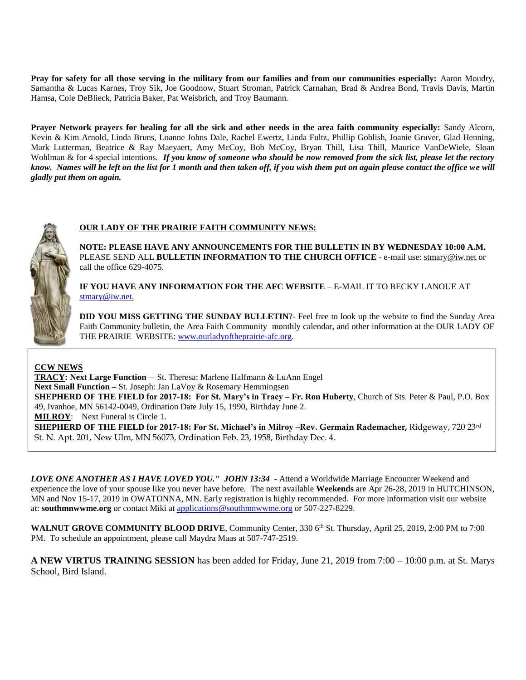**Pray for safety for all those serving in the military from our families and from our communities especially:** Aaron Moudry, Samantha & Lucas Karnes, Troy Sik, Joe Goodnow, Stuart Stroman, Patrick Carnahan, Brad & Andrea Bond, Travis Davis, Martin Hamsa, Cole DeBlieck, Patricia Baker, Pat Weisbrich, and Troy Baumann.

**Prayer Network prayers for healing for all the sick and other needs in the area faith community especially:** Sandy Alcorn, Kevin & Kim Arnold, Linda Bruns, Loanne Johns Dale, Rachel Ewertz, Linda Fultz, Phillip Goblish, Joanie Gruver, Glad Henning, Mark Lutterman, Beatrice & Ray Maeyaert, Amy McCoy, Bob McCoy, Bryan Thill, Lisa Thill, Maurice VanDeWiele, Sloan Wohlman & for 4 special intentions. *If you know of someone who should be now removed from the sick list, please let the rectory know. Names will be left on the list for 1 month and then taken off, if you wish them put on again please contact the office we will gladly put them on again.*



#### **OUR LADY OF THE PRAIRIE FAITH COMMUNITY NEWS:**

**NOTE: PLEASE HAVE ANY ANNOUNCEMENTS FOR THE BULLETIN IN BY WEDNESDAY 10:00 A.M.** PLEASE SEND ALL **BULLETIN INFORMATION TO THE CHURCH OFFICE** - e-mail use[: stmary@iw.net](mailto:stmary@iw.net) or call the office 629-4075.

**IF YOU HAVE ANY INFORMATION FOR THE AFC WEBSITE** – E-MAIL IT TO BECKY LANOUE AT [stmary@iw.net.](mailto:stmary@iw.net)

**DID YOU MISS GETTING THE SUNDAY BULLETIN**?- Feel free to look up the website to find the Sunday Area Faith Community bulletin, the Area Faith Community monthly calendar, and other information at the OUR LADY OF THE PRAIRIE WEBSITE: [www.ourladyoftheprairie-afc.org.](http://www.ourladyoftheprairie-afc.org/)

**CCW NEWS**

**TRACY: Next Large Function**— St. Theresa: Marlene Halfmann & LuAnn Engel **Next Small Function –** St. Joseph: Jan LaVoy & Rosemary Hemmingsen **SHEPHERD OF THE FIELD for 2017-18: For St. Mary's in Tracy – Fr. Ron Huberty**, Church of Sts. Peter & Paul, P.O. Box 49, Ivanhoe, MN 56142-0049, Ordination Date July 15, 1990, Birthday June 2. **MILROY**: Next Funeral is Circle 1. **SHEPHERD OF THE FIELD for 2017-18: For St. Michael's in Milroy –Rev. Germain Rademacher,** Ridgeway, 720 23rd St. N. Apt. 201, New Ulm, MN 56073, Ordination Feb. 23, 1958, Birthday Dec. 4.

*LOVE ONE ANOTHER AS I HAVE LOVED YOU." JOHN 13:34* **-** Attend a Worldwide Marriage Encounter Weekend and experience the love of your spouse like you never have before. The next available **Weekends** are Apr 26-28, 2019 in HUTCHINSON, MN and Nov 15-17, 2019 in OWATONNA, MN. Early registration is highly recommended. For more information visit our website at: **southmnwwme.org** or contact Miki at [applications@southmnwwme.org](mailto:wmandbethnickles@hotmail.com) or 507-227-8229.

**WALNUT GROVE COMMUNITY BLOOD DRIVE**, Community Center, 330 6<sup>th</sup> St. Thursday, April 25, 2019, 2:00 PM to 7:00 PM. To schedule an appointment, please call Maydra Maas at 507-747-2519.

**A NEW VIRTUS TRAINING SESSION** has been added for Friday, June 21, 2019 from 7:00 – 10:00 p.m. at St. Marys School, Bird Island.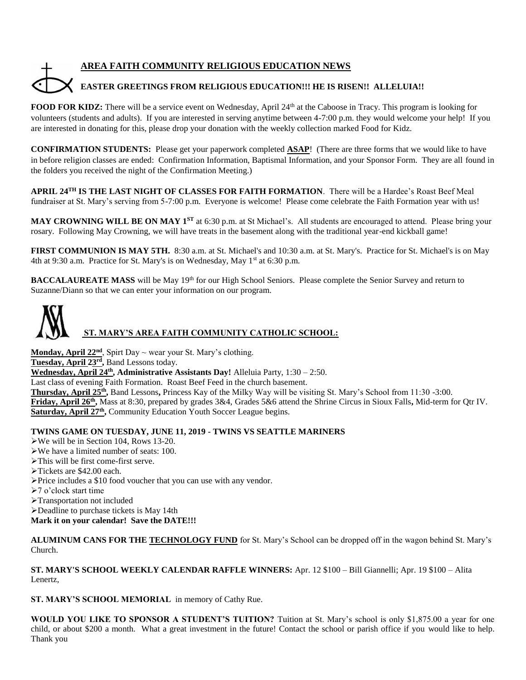# **AREA FAITH COMMUNITY RELIGIOUS EDUCATION NEWS**

# **EASTER GREETINGS FROM RELIGIOUS EDUCATION!!! HE IS RISEN!! ALLELUIA!!**

**FOOD FOR KIDZ:** There will be a service event on Wednesday, April 24<sup>th</sup> at the Caboose in Tracy. This program is looking for volunteers (students and adults). If you are interested in serving anytime between 4-7:00 p.m. they would welcome your help! If you are interested in donating for this, please drop your donation with the weekly collection marked Food for Kidz.

**CONFIRMATION STUDENTS:** Please get your paperwork completed **ASAP**! (There are three forms that we would like to have in before religion classes are ended: Confirmation Information, Baptismal Information, and your Sponsor Form. They are all found in the folders you received the night of the Confirmation Meeting.)

**APRIL 24TH IS THE LAST NIGHT OF CLASSES FOR FAITH FORMATION**. There will be a Hardee's Roast Beef Meal fundraiser at St. Mary's serving from 5-7:00 p.m. Everyone is welcome! Please come celebrate the Faith Formation year with us!

MAY CROWNING WILL BE ON MAY 1<sup>st</sup> at 6:30 p.m. at St Michael's. All students are encouraged to attend. Please bring your rosary. Following May Crowning, we will have treats in the basement along with the traditional year-end kickball game!

**FIRST COMMUNION IS MAY 5TH.** 8:30 a.m. at St. Michael's and 10:30 a.m. at St. Mary's. Practice for St. Michael's is on May 4th at 9:30 a.m. Practice for St. Mary's is on Wednesday, May  $1<sup>st</sup>$  at 6:30 p.m.

**BACCALAUREATE MASS** will be May 19<sup>th</sup> for our High School Seniors. Please complete the Senior Survey and return to Suzanne/Diann so that we can enter your information on our program.



 **ST. MARY'S AREA FAITH COMMUNITY CATHOLIC SCHOOL:**

**Monday, April 22nd**, Spirt Day ~ wear your St. Mary's clothing.

Tuesday, April 23<sup>rd</sup>, Band Lessons today.

**Wednesday, April 24th, Administrative Assistants Day!** Alleluia Party, 1:30 – 2:50.

Last class of evening Faith Formation. Roast Beef Feed in the church basement.

**Thursday, April 25th ,** Band Lessons**,** Princess Kay of the Milky Way will be visiting St. Mary's School from 11:30 -3:00.

**Friday, April 26th ,** Mass at 8:30, prepared by grades 3&4, Grades 5&6 attend the Shrine Circus in Sioux Falls**,** Mid-term for Qtr IV. Saturday, April 27<sup>th</sup>, Community Education Youth Soccer League begins.

#### **TWINS GAME ON TUESDAY, JUNE 11, 2019 - TWINS VS SEATTLE MARINERS**

- We will be in Section 104, Rows 13-20.
- We have a limited number of seats: 100.
- This will be first come-first serve.
- Tickets are \$42.00 each.
- Price includes a \$10 food voucher that you can use with any vendor.
- 7 o'clock start time
- Transportation not included
- Deadline to purchase tickets is May 14th

**Mark it on your calendar! Save the DATE!!!**

**ALUMINUM CANS FOR THE TECHNOLOGY FUND** for St. Mary's School can be dropped off in the wagon behind St. Mary's Church.

**ST. MARY'S SCHOOL WEEKLY CALENDAR RAFFLE WINNERS:** Apr. 12 \$100 – Bill Giannelli; Apr. 19 \$100 – Alita Lenertz,

**ST. MARY'S SCHOOL MEMORIAL** in memory of Cathy Rue.

**WOULD YOU LIKE TO SPONSOR A STUDENT'S TUITION?** Tuition at St. Mary's school is only \$1,875.00 a year for one child, or about \$200 a month. What a great investment in the future! Contact the school or parish office if you would like to help. Thank you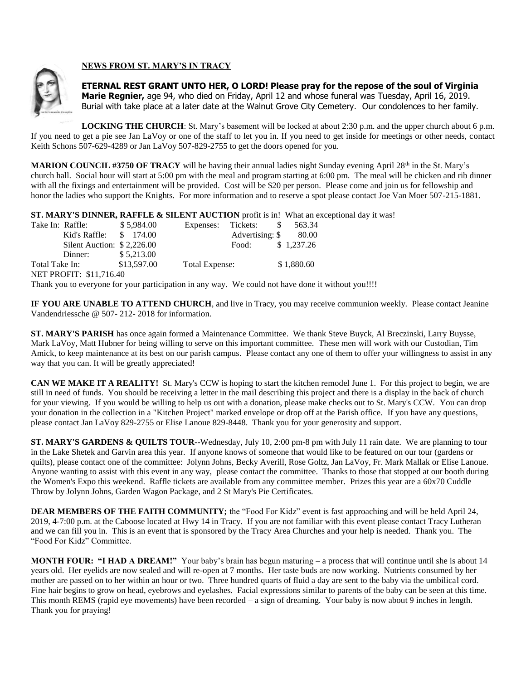

### **NEWS FROM ST. MARY'S IN TRACY**

**ETERNAL REST GRANT UNTO HER, O LORD! Please pray for the repose of the soul of Virginia Marie Regnier,** age 94, who died on Friday, April 12 and whose funeral was Tuesday, April 16, 2019. Burial with take place at a later date at the Walnut Grove City Cemetery. Our condolences to her family.

**LOCKING THE CHURCH**: St. Mary's basement will be locked at about 2:30 p.m. and the upper church about 6 p.m. If you need to get a pie see Jan LaVoy or one of the staff to let you in. If you need to get inside for meetings or other needs, contact Keith Schons 507-629-4289 or Jan LaVoy 507-829-2755 to get the doors opened for you.

**MARION COUNCIL #3750 OF TRACY** will be having their annual ladies night Sunday evening April 28<sup>th</sup> in the St. Mary's church hall. Social hour will start at 5:00 pm with the meal and program starting at 6:00 pm. The meal will be chicken and rib dinner with all the fixings and entertainment will be provided. Cost will be \$20 per person. Please come and join us for fellowship and honor the ladies who support the Knights. For more information and to reserve a spot please contact Joe Van Moer 507-215-1881.

**ST. MARY'S DINNER, RAFFLE & SILENT AUCTION** profit is in! What an exceptional day it was!

| Take In: Raffle: |                             | \$5.984.00  | Expenses: Tickets: |                               | -S | 563.34                                                                                             |
|------------------|-----------------------------|-------------|--------------------|-------------------------------|----|----------------------------------------------------------------------------------------------------|
|                  | Kid's Raffle: $$174.00$     |             |                    | Advertising: $\$\qquad 80.00$ |    |                                                                                                    |
|                  | Silent Auction: $$2,226.00$ |             |                    | Food:                         |    | \$1,237.26                                                                                         |
|                  | Dinner:                     | \$5,213.00  |                    |                               |    |                                                                                                    |
| Total Take In:   |                             | \$13,597.00 | Total Expense:     |                               |    | \$1,880.60                                                                                         |
|                  | NET PROFIT: \$11,716.40     |             |                    |                               |    |                                                                                                    |
|                  |                             |             |                    |                               |    | Thank you to everyone for your participation in any way. We could not have done it without you!!!! |

**IF YOU ARE UNABLE TO ATTEND CHURCH**, and live in Tracy, you may receive communion weekly. Please contact Jeanine Vandendriessche @ 507- 212- 2018 for information.

**ST. MARY'S PARISH** has once again formed a Maintenance Committee. We thank Steve Buyck, Al Breczinski, Larry Buysse, Mark LaVoy, Matt Hubner for being willing to serve on this important committee. These men will work with our Custodian, Tim Amick, to keep maintenance at its best on our parish campus. Please contact any one of them to offer your willingness to assist in any way that you can. It will be greatly appreciated!

**CAN WE MAKE IT A REALITY!** St. Mary's CCW is hoping to start the kitchen remodel June 1. For this project to begin, we are still in need of funds. You should be receiving a letter in the mail describing this project and there is a display in the back of church for your viewing. If you would be willing to help us out with a donation, please make checks out to St. Mary's CCW. You can drop your donation in the collection in a "Kitchen Project" marked envelope or drop off at the Parish office. If you have any questions, please contact Jan LaVoy 829-2755 or Elise Lanoue 829-8448. Thank you for your generosity and support.

**ST. MARY'S GARDENS & QUILTS TOUR--Wednesday, July 10, 2:00 pm-8 pm with July 11 rain date. We are planning to tour** in the Lake Shetek and Garvin area this year. If anyone knows of someone that would like to be featured on our tour (gardens or quilts), please contact one of the committee: Jolynn Johns, Becky Averill, Rose Goltz, Jan LaVoy, Fr. Mark Mallak or Elise Lanoue. Anyone wanting to assist with this event in any way, please contact the committee. Thanks to those that stopped at our booth during the Women's Expo this weekend. Raffle tickets are available from any committee member. Prizes this year are a 60x70 Cuddle Throw by Jolynn Johns, Garden Wagon Package, and 2 St Mary's Pie Certificates.

**DEAR MEMBERS OF THE FAITH COMMUNITY;** the "Food For Kidz" event is fast approaching and will be held April 24, 2019, 4-7:00 p.m. at the Caboose located at Hwy 14 in Tracy. If you are not familiar with this event please contact Tracy Lutheran and we can fill you in. This is an event that is sponsored by the Tracy Area Churches and your help is needed. Thank you. The "Food For Kidz" Committee.

**MONTH FOUR: "I HAD A DREAM!"** Your baby's brain has begun maturing – a process that will continue until she is about 14 years old. Her eyelids are now sealed and will re-open at 7 months. Her taste buds are now working. Nutrients consumed by her mother are passed on to her within an hour or two. Three hundred quarts of fluid a day are sent to the baby via the umbilical cord. Fine hair begins to grow on head, eyebrows and eyelashes. Facial expressions similar to parents of the baby can be seen at this time. This month REMS (rapid eye movements) have been recorded – a sign of dreaming. Your baby is now about 9 inches in length. Thank you for praying!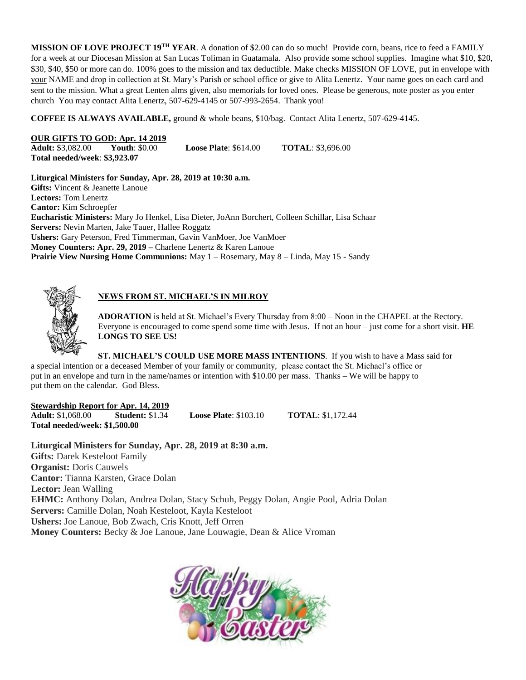**MISSION OF LOVE PROJECT 19TH YEAR**. A donation of \$2.00 can do so much! Provide corn, beans, rice to feed a FAMILY for a week at our Diocesan Mission at San Lucas Toliman in Guatamala. Also provide some school supplies. Imagine what \$10, \$20, \$30, \$40, \$50 or more can do. 100% goes to the mission and tax deductible. Make checks MISSION OF LOVE, put in envelope with your NAME and drop in collection at St. Mary's Parish or school office or give to Alita Lenertz. Your name goes on each card and sent to the mission. What a great Lenten alms given, also memorials for loved ones. Please be generous, note poster as you enter church You may contact Alita Lenertz, 507-629-4145 or 507-993-2654. Thank you!

**COFFEE IS ALWAYS AVAILABLE,** ground & whole beans, \$10/bag. Contact Alita Lenertz, 507-629-4145.

# **OUR GIFTS TO GOD: Apr. 14 2019**<br>**Adult:** \$3,082,00 **Youth:** \$0,00

**Arror Xouth: \$0.00 <b>Loose Plate:** \$614.00 **TOTAL:** \$3,696.00 **Total needed/week**: **\$3,923.07**

**Liturgical Ministers for Sunday, Apr. 28, 2019 at 10:30 a.m. Gifts:** Vincent & Jeanette Lanoue **Lectors:** Tom Lenertz **Cantor:** Kim Schroepfer **Eucharistic Ministers:** Mary Jo Henkel, Lisa Dieter, JoAnn Borchert, Colleen Schillar, Lisa Schaar **Servers:** Nevin Marten, Jake Tauer, Hallee Roggatz **Ushers:** Gary Peterson, Fred Timmerman, Gavin VanMoer, Joe VanMoer **Money Counters: Apr. 29, 2019 –** Charlene Lenertz & Karen Lanoue **Prairie View Nursing Home Communions:** May 1 – Rosemary, May 8 – Linda, May 15 - Sandy



# **NEWS FROM ST. MICHAEL'S IN MILROY**

**ADORATION** is held at St. Michael's Every Thursday from 8:00 – Noon in the CHAPEL at the Rectory. Everyone is encouraged to come spend some time with Jesus. If not an hour – just come for a short visit. **HE LONGS TO SEE US!**

**ST. MICHAEL'S COULD USE MORE MASS INTENTIONS**. If you wish to have a Mass said for a special intention or a deceased Member of your family or community, please contact the St. Michael's office or put in an envelope and turn in the name/names or intention with \$10.00 per mass. Thanks – We will be happy to put them on the calendar. God Bless.

#### **Stewardship Report for Apr. 14, 2019**

**Adult:** \$1,068.00 **Student:** \$1.34 **Loose Plate**: \$103.10 **TOTAL**: \$1,172.44 **Total needed/week: \$1,500.00**

**Liturgical Ministers for Sunday, Apr. 28, 2019 at 8:30 a.m. Gifts:** Darek Kesteloot Family **Organist: Doris Cauwels Cantor:** Tianna Karsten, Grace Dolan **Lector:** Jean Walling **EHMC:** Anthony Dolan, Andrea Dolan, Stacy Schuh, Peggy Dolan, Angie Pool, Adria Dolan **Servers:** Camille Dolan, Noah Kesteloot, Kayla Kesteloot **Ushers:** Joe Lanoue, Bob Zwach, Cris Knott, Jeff Orren **Money Counters:** Becky & Joe Lanoue, Jane Louwagie, Dean & Alice Vroman